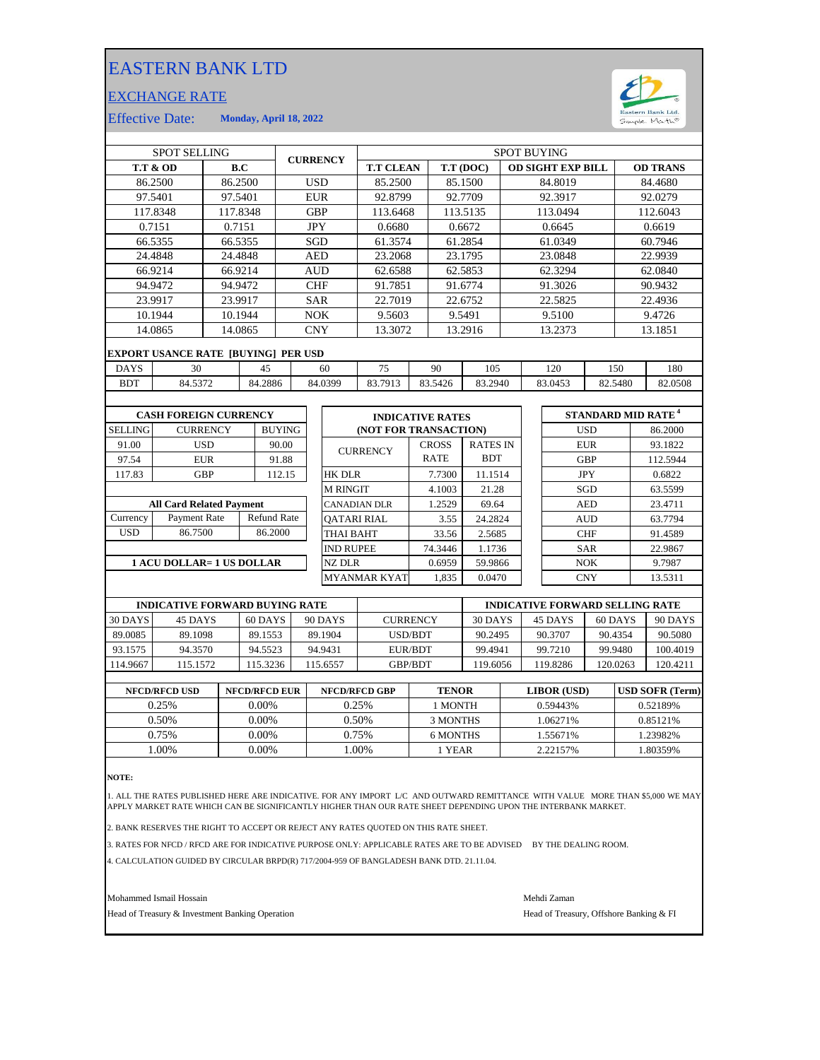## EASTERN BANK LTD

## EXCHANGE RATE



Effective Date: **Monday, April 18, 2022**

| <b>SPOT SELLING</b>              |                                            |            |         |                    | <b>CURRENCY</b>    |                  | <b>SPOT BUYING</b>  |                         |              |             |                 |                          |            |                                        |            |                 |         |
|----------------------------------|--------------------------------------------|------------|---------|--------------------|--------------------|------------------|---------------------|-------------------------|--------------|-------------|-----------------|--------------------------|------------|----------------------------------------|------------|-----------------|---------|
|                                  | <b>T.T &amp; OD</b>                        | B.C        |         |                    |                    |                  | <b>T.T CLEAN</b>    |                         |              | T.T (DOC)   |                 | <b>OD SIGHT EXP BILL</b> |            |                                        |            | <b>OD TRANS</b> |         |
|                                  | 86.2500                                    | 86.2500    |         |                    | <b>USD</b>         |                  |                     | 85.2500                 |              |             | 85.1500         |                          | 84.8019    |                                        |            | 84.4680         |         |
| 97.5401                          |                                            |            | 97.5401 |                    | <b>EUR</b>         |                  |                     | 92.8799                 |              |             | 92.7709         |                          | 92.3917    |                                        |            | 92.0279         |         |
|                                  | 117.8348                                   | 117.8348   |         |                    |                    | <b>GBP</b>       |                     | 113.6468                |              |             | 113.5135        |                          | 113.0494   |                                        |            | 112.6043        |         |
|                                  | 0.7151                                     | 0.7151     |         |                    |                    | <b>JPY</b>       |                     | 0.6680                  |              |             | 0.6672          |                          |            | 0.6645                                 |            |                 | 0.6619  |
|                                  | 66.5355                                    | 66.5355    |         |                    |                    | SGD              |                     | 61.3574                 |              |             | 61.2854         |                          |            | 61.0349                                |            |                 | 60.7946 |
|                                  | 24.4848                                    | 24.4848    |         |                    | <b>AED</b>         |                  |                     | 23.2068                 |              | 23.1795     |                 |                          | 23.0848    |                                        |            | 22.9939         |         |
|                                  | 66.9214                                    | 66.9214    |         |                    | <b>AUD</b>         |                  |                     | 62.6588                 |              | 62.5853     |                 |                          | 62.3294    |                                        |            | 62.0840         |         |
|                                  | 94.9472                                    | 94.9472    |         |                    | <b>CHF</b>         |                  |                     | 91.7851                 |              | 91.6774     |                 |                          |            | 91.3026                                |            |                 | 90.9432 |
|                                  | 23.9917                                    |            | 23.9917 |                    | <b>SAR</b>         |                  | 22.7019             |                         |              | 22.6752     |                 | 22.5825                  |            |                                        | 22.4936    |                 |         |
|                                  | 10.1944<br>10.1944                         |            |         | <b>NOK</b>         |                    |                  | 9.5603              |                         |              | 9.5491      |                 | 9.5100                   |            |                                        | 9.4726     |                 |         |
|                                  | 14.0865                                    | 14.0865    |         |                    | <b>CNY</b>         |                  | 13.3072             |                         |              | 13.2916     | 13.2373         |                          |            | 13.1851                                |            |                 |         |
|                                  | <b>EXPORT USANCE RATE [BUYING] PER USD</b> |            |         |                    |                    |                  |                     |                         |              |             |                 |                          |            |                                        |            |                 |         |
| <b>DAYS</b>                      | 30                                         |            | 45      | 60                 |                    | 75               | 90                  |                         | 105          |             |                 | 120                      |            | 150                                    | 180        |                 |         |
| <b>BDT</b>                       | 84.5372                                    |            |         | 84.2886            |                    |                  | 84.0399             | 83.7913                 |              | 83.5426     | 83.2940         |                          |            | 83.0453                                | 82.5480    |                 | 82.0508 |
|                                  |                                            |            |         |                    |                    |                  |                     |                         |              |             |                 |                          |            |                                        |            |                 |         |
|                                  | <b>CASH FOREIGN CURRENCY</b>               |            |         |                    |                    |                  |                     | <b>INDICATIVE RATES</b> |              |             |                 |                          |            | STANDARD MID RATE <sup>4</sup>         |            |                 |         |
| <b>SELLING</b>                   | <b>CURRENCY</b>                            |            |         | <b>BUYING</b>      |                    |                  |                     | (NOT FOR TRANSACTION)   |              |             |                 |                          |            |                                        | <b>USD</b> |                 | 86.2000 |
| 91.00                            | <b>USD</b>                                 |            | 90.00   |                    |                    | <b>CURRENCY</b>  |                     |                         | <b>CROSS</b> |             | <b>RATES IN</b> |                          | <b>EUR</b> |                                        |            | 93.1822         |         |
| 97.54                            |                                            | <b>EUR</b> |         | 91.88              |                    |                  |                     |                         |              | <b>RATE</b> | <b>BDT</b>      |                          |            | <b>GBP</b>                             |            | 112.5944        |         |
| 117.83                           | <b>GBP</b>                                 |            | 112.15  |                    |                    | <b>HK DLR</b>    |                     |                         | 7.7300       | 11.1514     |                 |                          | <b>JPY</b> |                                        |            | 0.6822          |         |
|                                  |                                            |            |         |                    |                    |                  | <b>M RINGIT</b>     |                         |              | 4.1003      | 21.28           |                          |            |                                        | SGD        |                 | 63.5599 |
|                                  | <b>All Card Related Payment</b>            |            |         |                    |                    |                  | <b>CANADIAN DLR</b> |                         |              | 1.2529      | 69.64           |                          | <b>AED</b> |                                        | 23.4711    |                 |         |
| Currency                         | Payment Rate                               |            |         | <b>Refund Rate</b> | <b>OATARI RIAL</b> |                  |                     |                         | 3.55         | 24.2824     |                 |                          | <b>AUD</b> |                                        | 63.7794    |                 |         |
| <b>USD</b>                       | 86.7500                                    | 86.2000    |         | THAI BAHT          |                    |                  |                     | 33.56                   | 2.5685       |             |                 |                          | <b>CHF</b> |                                        | 91.4589    |                 |         |
|                                  |                                            |            |         |                    |                    | <b>IND RUPEE</b> |                     |                         | 74.3446      | 1.1736      |                 |                          |            | <b>SAR</b>                             |            | 22.9867         |         |
| <b>1 ACU DOLLAR= 1 US DOLLAR</b> |                                            |            |         |                    |                    | <b>NZ DLR</b>    |                     |                         | 0.6959       | 59.9866     |                 |                          |            | NOK                                    |            | 9.7987          |         |
|                                  |                                            |            |         |                    |                    |                  |                     | <b>MYANMAR KYAT</b>     |              | 1,835       | 0.0470          |                          |            |                                        | <b>CNY</b> |                 | 13.5311 |
|                                  |                                            |            |         |                    |                    |                  |                     |                         |              |             |                 |                          |            |                                        |            |                 |         |
|                                  | <b>INDICATIVE FORWARD BUYING RATE</b>      |            |         |                    |                    |                  |                     |                         |              |             |                 |                          |            | <b>INDICATIVE FORWARD SELLING RATE</b> |            |                 |         |

|          | INDICATIVE FORWARD BUYING RATE |          |          |                 |         |          | INDICATIVE FORWARD SELLING RATE |          |  |  |  |
|----------|--------------------------------|----------|----------|-----------------|---------|----------|---------------------------------|----------|--|--|--|
| 30 DAYS  | 45 DAYS                        | 60 DAYS  | 90 DAYS  | <b>CURRENCY</b> | 30 DAYS | 45 DAYS  | 60 DAYS                         | 90 DAYS  |  |  |  |
| 89.0085  | 89.1098                        | 89.1553  | 89.1904  | USD/BDT         | 90.2495 | 90.3707  | 90.4354                         | 90.5080  |  |  |  |
| 93.1575  | 94.3570                        | 94.5523  | 94.9431  | EUR/BDT         | 99.4941 | 99.7210  | 99.9480                         | 100.4019 |  |  |  |
| 114.9667 | 115.1572                       | 115.3236 | 115.6557 | <b>GBP/BDT</b>  | 19.6056 | 119.8286 | 120.0263                        | 120.4211 |  |  |  |
|          |                                |          |          |                 |         |          |                                 |          |  |  |  |

| <b>NFCD/RFCD USD</b> | <b>NFCD/RFCD EUR</b> | <b>NFCD/RFCD GBP</b> | <b>TENOR</b> | <b>LIBOR</b> (USD) | <b>USD SOFR (Term)</b> |
|----------------------|----------------------|----------------------|--------------|--------------------|------------------------|
| 0.25%                | $0.00\%$             | 0.25%                | 1 MONTH      | 0.59443%           | 0.52189%               |
| 0.50%                | $0.00\%$             | 0.50%                | 3 MONTHS     | 1.06271%           | 0.85121\%              |
| 0.75%                | 0.00%                | 0.75%                | 6 MONTHS     | .55671%            | 1.23982%               |
| .00%                 | 0.00%                | .00%                 | 1 YEAR       | 2.22157%           | .80359%                |
|                      |                      |                      |              |                    |                        |

**NOTE:**

1. ALL THE RATES PUBLISHED HERE ARE INDICATIVE. FOR ANY IMPORT L/C AND OUTWARD REMITTANCE WITH VALUE MORE THAN \$5,000 WE MAY<br>APPLY MARKET RATE WHICH CAN BE SIGNIFICANTLY HIGHER THAN OUR RATE SHEET DEPENDING UPON THE IN

2. BANK RESERVES THE RIGHT TO ACCEPT OR REJECT ANY RATES QUOTED ON THIS RATE SHEET.

3. RATES FOR NFCD / RFCD ARE FOR INDICATIVE PURPOSE ONLY: APPLICABLE RATES ARE TO BE ADVISED BY THE DEALING ROOM.

4. CALCULATION GUIDED BY CIRCULAR BRPD(R) 717/2004-959 OF BANGLADESH BANK DTD. 21.11.04.

Mohammed Ismail Hossain Mehdi Zaman

Head of Treasury & Investment Banking Operation **Head of Treasury, Offshore Banking & FI**